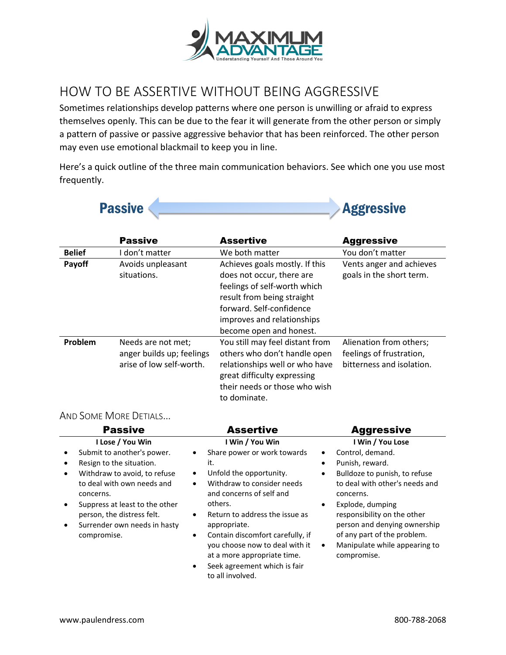

# HOW TO BE ASSERTIVE WITHOUT BEING AGGRESSIVE

Sometimes relationships develop patterns where one person is unwilling or afraid to express themselves openly. This can be due to the fear it will generate from the other person or simply a pattern of passive or passive aggressive behavior that has been reinforced. The other person may even use emotional blackmail to keep you in line.

Here's a quick outline of the three main communication behaviors. See which one you use most frequently.



|               | <b>Passive</b>                                                              | <b>Assertive</b>                                                                                                                                                                                               | <b>Aggressive</b>                                                                |
|---------------|-----------------------------------------------------------------------------|----------------------------------------------------------------------------------------------------------------------------------------------------------------------------------------------------------------|----------------------------------------------------------------------------------|
| <b>Belief</b> | I don't matter                                                              | We both matter                                                                                                                                                                                                 | You don't matter                                                                 |
| Payoff        | Avoids unpleasant<br>situations.                                            | Achieves goals mostly. If this<br>does not occur, there are<br>feelings of self-worth which<br>result from being straight<br>forward. Self-confidence<br>improves and relationships<br>become open and honest. | Vents anger and achieves<br>goals in the short term.                             |
| Problem       | Needs are not met;<br>anger builds up; feelings<br>arise of low self-worth. | You still may feel distant from<br>others who don't handle open<br>relationships well or who have<br>great difficulty expressing<br>their needs or those who wish<br>to dominate.                              | Alienation from others;<br>feelings of frustration,<br>bitterness and isolation. |

# AND SOME MORE DETIALS…

|           | <b>Passive</b>                                                          | <b>Assertive</b>                                                                                                                                                                | <b>Aggressive</b>                                                                                                        |
|-----------|-------------------------------------------------------------------------|---------------------------------------------------------------------------------------------------------------------------------------------------------------------------------|--------------------------------------------------------------------------------------------------------------------------|
|           | I Lose / You Win                                                        | I Win / You Win                                                                                                                                                                 | I Win / You Lose                                                                                                         |
| $\bullet$ | Submit to another's power.                                              | Share power or work towards                                                                                                                                                     | Control, demand.<br>٠                                                                                                    |
|           | Resign to the situation.                                                | it.                                                                                                                                                                             | Punish, reward.<br>$\bullet$                                                                                             |
| $\bullet$ | Withdraw to avoid, to refuse<br>to deal with own needs and<br>concerns. | Unfold the opportunity.<br>$\bullet$<br>Withdraw to consider needs<br>$\bullet$<br>and concerns of self and                                                                     | Bulldoze to punish, to refuse<br>$\bullet$<br>to deal with other's needs and<br>concerns.                                |
|           | Suppress at least to the other<br>person, the distress felt.            | others.<br>Return to address the issue as<br>$\bullet$                                                                                                                          | Explode, dumping<br>٠<br>responsibility on the other                                                                     |
| ٠         | Surrender own needs in hasty<br>compromise.                             | appropriate.<br>Contain discomfort carefully, if<br>٠<br>you choose now to deal with it<br>at a more appropriate time.<br>Seek agreement which is fair<br>٠<br>to all involved. | person and denying ownership<br>of any part of the problem.<br>Manipulate while appearing to<br>$\bullet$<br>compromise. |